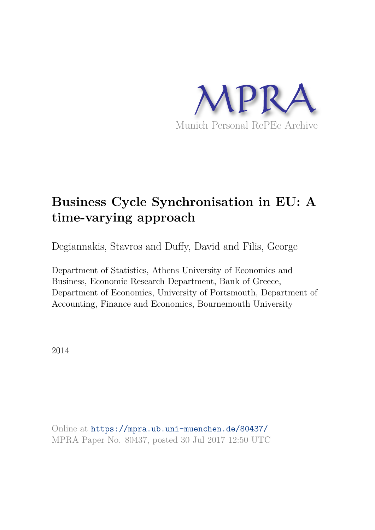

# **Business Cycle Synchronisation in EU: A time-varying approach**

Degiannakis, Stavros and Duffy, David and Filis, George

Department of Statistics, Athens University of Economics and Business, Economic Research Department, Bank of Greece, Department of Economics, University of Portsmouth, Department of Accounting, Finance and Economics, Bournemouth University

2014

Online at https://mpra.ub.uni-muenchen.de/80437/ MPRA Paper No. 80437, posted 30 Jul 2017 12:50 UTC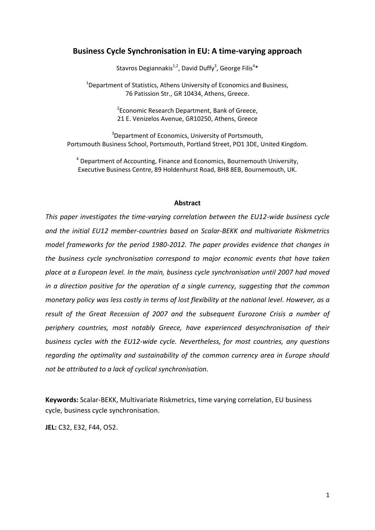# **Business Cycle Synchronisation in EU: A time-varying approach**

Stavros Degiannakis<sup>1,2</sup>, David Duffy<sup>3</sup>, George Filis<sup>4\*</sup>

<sup>1</sup>Department of Statistics, Athens University of Economics and Business, 76 Patission Str., GR 10434, Athens, Greece.

> <sup>2</sup> Economic Research Department, Bank of Greece, 21 E. Venizelos Avenue, GR10250, Athens, Greece

<sup>3</sup>Department of Economics, University of Portsmouth, Portsmouth Business School, Portsmouth, Portland Street, PO1 3DE, United Kingdom.

<sup>4</sup> Department of Accounting, Finance and Economics, Bournemouth University, Executive Business Centre, 89 Holdenhurst Road, BH8 8EB, Bournemouth, UK.

# **Abstract**

*This paper investigates the time-varying correlation between the EU12-wide business cycle and the initial EU12 member-countries based on Scalar-BEKK and multivariate Riskmetrics model frameworks for the period 1980-2012. The paper provides evidence that changes in the business cycle synchronisation correspond to major economic events that have taken place at a European level. In the main, business cycle synchronisation until 2007 had moved in a direction positive for the operation of a single currency, suggesting that the common monetary policy was less costly in terms of lost flexibility at the national level. However, as a result of the Great Recession of 2007 and the subsequent Eurozone Crisis a number of periphery countries, most notably Greece, have experienced desynchronisation of their business cycles with the EU12-wide cycle. Nevertheless, for most countries, any questions regarding the optimality and sustainability of the common currency area in Europe should not be attributed to a lack of cyclical synchronisation.*

**Keywords:** Scalar-BEKK, Multivariate Riskmetrics, time varying correlation, EU business cycle, business cycle synchronisation.

**JEL:** C32, E32, F44, O52.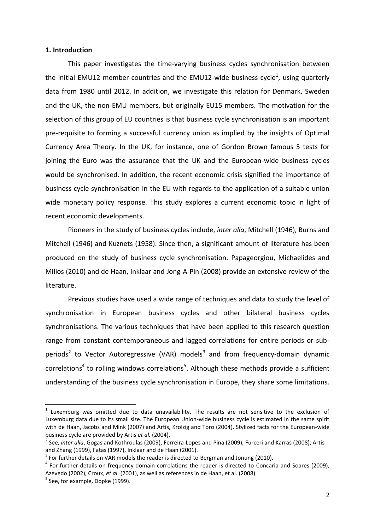# **1. Introduction**

This paper investigates the time-varying business cycles synchronisation between the initial EMU12 member-countries and the EMU12-wide business cycle<sup>1</sup>, using quarterly data from 1980 until 2012. In addition, we investigate this relation for Denmark, Sweden and the UK, the non-EMU members, but originally EU15 members. The motivation for the selection of this group of EU countries is that business cycle synchronisation is an important pre-requisite to forming a successful currency union as implied by the insights of Optimal Currency Area Theory. In the UK, for instance, one of Gordon Brown famous 5 tests for joining the Euro was the assurance that the UK and the European-wide business cycles would be synchronised. In addition, the recent economic crisis signified the importance of business cycle synchronisation in the EU with regards to the application of a suitable union wide monetary policy response. This study explores a current economic topic in light of recent economic developments.

Pioneers in the study of business cycles include, *inter alia*, Mitchell (1946), Burns and Mitchell (1946) and Kuznets (1958). Since then, a significant amount of literature has been produced on the study of business cycle synchronisation. Papageorgiou, Michaelides and Milios (2010) and de Haan, Inklaar and Jong-A-Pin (2008) provide an extensive review of the literature.

Previous studies have used a wide range of techniques and data to study the level of synchronisation in European business cycles and other bilateral business cycles synchronisations. The various techniques that have been applied to this research question range from constant contemporaneous and lagged correlations for entire periods or subperiods<sup>2</sup> to Vector Autoregressive (VAR) models<sup>3</sup> and from frequency-domain dynamic correlations<sup>4</sup> to rolling windows correlations<sup>5</sup>. Although these methods provide a sufficient understanding of the business cycle synchronisation in Europe, they share some limitations.

-

 $1$  Luxemburg was omitted due to data unavailability. The results are not sensitive to the exclusion of Luxemburg data due to its small size. The European Union-wide business cycle is estimated in the same spirit with de Haan, Jacobs and Mink (2007) and Artis, Krolzig and Toro (2004). Stylized facts for the European-wide business cycle are provided by Artis *et al.* (2004).

<sup>2</sup> See, *inter alia*, Gogas and Kothroulas (2009), Ferreira-Lopes and Pina (2009), Furceri and Karras (2008), Artis and Zhang (1999), Fatas (1997), Inklaar and de Haan (2001).

 $3$  For further details on VAR models the reader is directed to Bergman and Jonung (2010).

 $<sup>4</sup>$  For further details on frequency-domain correlations the reader is directed to Concaria and Soares (2009),</sup> Azevedo (2002), Croux, *et al*. (2001), as well as references in de Haan, et al. (2008).

 $<sup>5</sup>$  See, for example, Dopke (1999).</sup>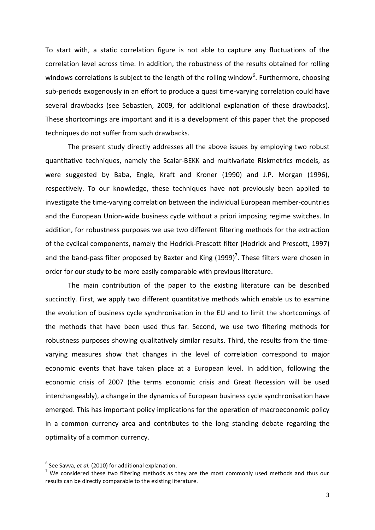To start with, a static correlation figure is not able to capture any fluctuations of the correlation level across time. In addition, the robustness of the results obtained for rolling windows correlations is subject to the length of the rolling window<sup>6</sup>. Furthermore, choosing sub-periods exogenously in an effort to produce a quasi time-varying correlation could have several drawbacks (see Sebastien, 2009, for additional explanation of these drawbacks). These shortcomings are important and it is a development of this paper that the proposed techniques do not suffer from such drawbacks.

The present study directly addresses all the above issues by employing two robust quantitative techniques, namely the Scalar-BEKK and multivariate Riskmetrics models, as were suggested by Baba, Engle, Kraft and Kroner (1990) and J.P. Morgan (1996), respectively. To our knowledge, these techniques have not previously been applied to investigate the time-varying correlation between the individual European member-countries and the European Union-wide business cycle without a priori imposing regime switches. In addition, for robustness purposes we use two different filtering methods for the extraction of the cyclical components, namely the Hodrick-Prescott filter (Hodrick and Prescott, 1997) and the band-pass filter proposed by Baxter and King  $(1999)^7$ . These filters were chosen in order for our study to be more easily comparable with previous literature.

The main contribution of the paper to the existing literature can be described succinctly. First, we apply two different quantitative methods which enable us to examine the evolution of business cycle synchronisation in the EU and to limit the shortcomings of the methods that have been used thus far. Second, we use two filtering methods for robustness purposes showing qualitatively similar results. Third, the results from the timevarying measures show that changes in the level of correlation correspond to major economic events that have taken place at a European level. In addition, following the economic crisis of 2007 (the terms economic crisis and Great Recession will be used interchangeably), a change in the dynamics of European business cycle synchronisation have emerged. This has important policy implications for the operation of macroeconomic policy in a common currency area and contributes to the long standing debate regarding the optimality of a common currency.

-

<sup>6</sup> See Savva, *et al.* (2010) for additional explanation.

 $<sup>7</sup>$  We considered these two filtering methods as they are the most commonly used methods and thus our</sup> results can be directly comparable to the existing literature.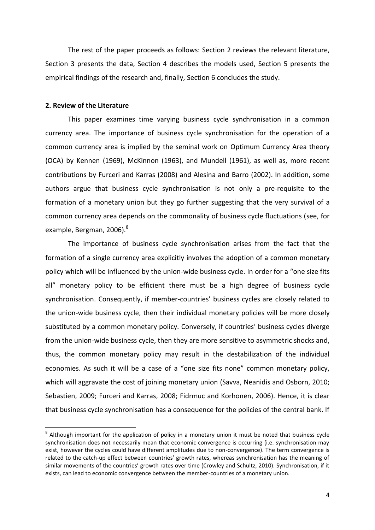The rest of the paper proceeds as follows: Section 2 reviews the relevant literature, Section 3 presents the data, Section 4 describes the models used, Section 5 presents the empirical findings of the research and, finally, Section 6 concludes the study.

# **2. Review of the Literature**

.<br>-

This paper examines time varying business cycle synchronisation in a common currency area. The importance of business cycle synchronisation for the operation of a common currency area is implied by the seminal work on Optimum Currency Area theory (OCA) by Kennen (1969), McKinnon (1963), and Mundell (1961), as well as, more recent contributions by Furceri and Karras (2008) and Alesina and Barro (2002). In addition, some authors argue that business cycle synchronisation is not only a pre-requisite to the formation of a monetary union but they go further suggesting that the very survival of a common currency area depends on the commonality of business cycle fluctuations (see, for example, Bergman, 2006).<sup>8</sup>

The importance of business cycle synchronisation arises from the fact that the formation of a single currency area explicitly involves the adoption of a common monetary policy which will be influenced by the union-wide business cycle. In order for a "one size fits all" monetary policy to be efficient there must be a high degree of business cycle synchronisation. Consequently, if member-countries' business cycles are closely related to the union-wide business cycle, then their individual monetary policies will be more closely substituted by a common monetary policy. Conversely, if countries' business cycles diverge from the union-wide business cycle, then they are more sensitive to asymmetric shocks and, thus, the common monetary policy may result in the destabilization of the individual economies. As such it will be a case of a "one size fits none" common monetary policy, which will aggravate the cost of joining monetary union (Savva, Neanidis and Osborn, 2010; Sebastien, 2009; Furceri and Karras, 2008; Fidrmuc and Korhonen, 2006). Hence, it is clear that business cycle synchronisation has a consequence for the policies of the central bank. If

 $8$  Although important for the application of policy in a monetary union it must be noted that business cycle synchronisation does not necessarily mean that economic convergence is occurring (i.e. synchronisation may exist, however the cycles could have different amplitudes due to non-convergence). The term convergence is related to the catch-up effect between countries' growth rates, whereas synchronisation has the meaning of similar movements of the countries' growth rates over time (Crowley and Schultz, 2010). Synchronisation, if it exists, can lead to economic convergence between the member-countries of a monetary union.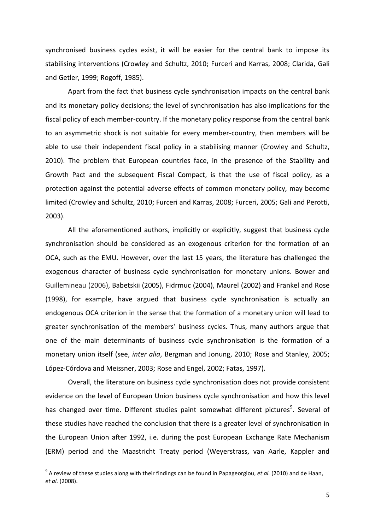synchronised business cycles exist, it will be easier for the central bank to impose its stabilising interventions (Crowley and Schultz, 2010; Furceri and Karras, 2008; Clarida, Gali and Getler, 1999; Rogoff, 1985).

Apart from the fact that business cycle synchronisation impacts on the central bank and its monetary policy decisions; the level of synchronisation has also implications for the fiscal policy of each member-country. If the monetary policy response from the central bank to an asymmetric shock is not suitable for every member-country, then members will be able to use their independent fiscal policy in a stabilising manner (Crowley and Schultz, 2010). The problem that European countries face, in the presence of the Stability and Growth Pact and the subsequent Fiscal Compact, is that the use of fiscal policy, as a protection against the potential adverse effects of common monetary policy, may become limited (Crowley and Schultz, 2010; Furceri and Karras, 2008; Furceri, 2005; Gali and Perotti, 2003).

All the aforementioned authors, implicitly or explicitly, suggest that business cycle synchronisation should be considered as an exogenous criterion for the formation of an OCA, such as the EMU. However, over the last 15 years, the literature has challenged the exogenous character of business cycle synchronisation for monetary unions. Bower and Guillemineau (2006), Babetskii (2005), Fidrmuc (2004), Maurel (2002) and Frankel and Rose (1998), for example, have argued that business cycle synchronisation is actually an endogenous OCA criterion in the sense that the formation of a monetary union will lead to greater synchronisation of the members' business cycles. Thus, many authors argue that one of the main determinants of business cycle synchronisation is the formation of a monetary union itself (see, *inter alia*, Bergman and Jonung, 2010; Rose and Stanley, 2005; López-Córdova and Meissner, 2003; Rose and Engel, 2002; Fatas, 1997).

Overall, the literature on business cycle synchronisation does not provide consistent evidence on the level of European Union business cycle synchronisation and how this level has changed over time. Different studies paint somewhat different pictures<sup>9</sup>. Several of these studies have reached the conclusion that there is a greater level of synchronisation in the European Union after 1992, i.e. during the post European Exchange Rate Mechanism (ERM) period and the Maastricht Treaty period (Weyerstrass, van Aarle, Kappler and

<u>.</u>

<sup>9</sup> A review of these studies along with their findings can be found in Papageorgiou, *et al.* (2010) and de Haan, *et al.* (2008).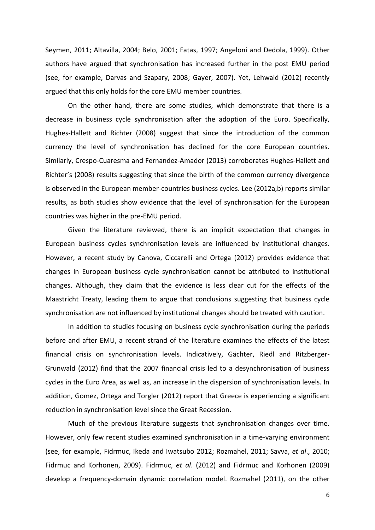Seymen, 2011; Altavilla, 2004; Belo, 2001; Fatas, 1997; Angeloni and Dedola, 1999). Other authors have argued that synchronisation has increased further in the post EMU period (see, for example, Darvas and Szapary, 2008; Gayer, 2007). Yet, Lehwald (2012) recently argued that this only holds for the core EMU member countries.

On the other hand, there are some studies, which demonstrate that there is a decrease in business cycle synchronisation after the adoption of the Euro. Specifically, Hughes-Hallett and Richter (2008) suggest that since the introduction of the common currency the level of synchronisation has declined for the core European countries. Similarly, Crespo-Cuaresma and Fernandez-Amador (2013) corroborates Hughes-Hallett and Richter's (2008) results suggesting that since the birth of the common currency divergence is observed in the European member-countries business cycles. Lee (2012a,b) reports similar results, as both studies show evidence that the level of synchronisation for the European countries was higher in the pre-EMU period.

Given the literature reviewed, there is an implicit expectation that changes in European business cycles synchronisation levels are influenced by institutional changes. However, a recent study by Canova, Ciccarelli and Ortega (2012) provides evidence that changes in European business cycle synchronisation cannot be attributed to institutional changes. Although, they claim that the evidence is less clear cut for the effects of the Maastricht Treaty, leading them to argue that conclusions suggesting that business cycle synchronisation are not influenced by institutional changes should be treated with caution.

In addition to studies focusing on business cycle synchronisation during the periods before and after EMU, a recent strand of the literature examines the effects of the latest financial crisis on synchronisation levels. Indicatively, Gächter, Riedl and Ritzberger-Grunwald (2012) find that the 2007 financial crisis led to a desynchronisation of business cycles in the Euro Area, as well as, an increase in the dispersion of synchronisation levels. In addition, Gomez, Ortega and Torgler (2012) report that Greece is experiencing a significant reduction in synchronisation level since the Great Recession.

Much of the previous literature suggests that synchronisation changes over time. However, only few recent studies examined synchronisation in a time-varying environment (see, for example, Fidrmuc, Ikeda and Iwatsubo 2012; Rozmahel, 2011; Savva, *et al*., 2010; Fidrmuc and Korhonen, 2009). Fidrmuc, *et al*. (2012) and Fidrmuc and Korhonen (2009) develop a frequency-domain dynamic correlation model. Rozmahel (2011), on the other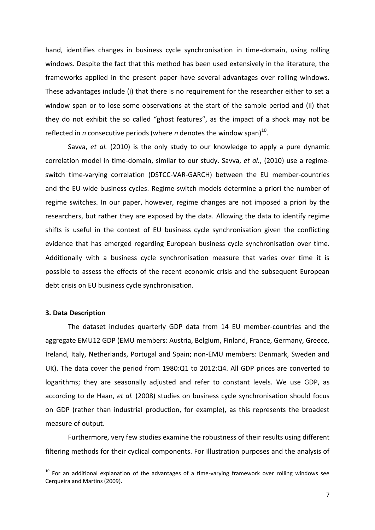hand, identifies changes in business cycle synchronisation in time-domain, using rolling windows. Despite the fact that this method has been used extensively in the literature, the frameworks applied in the present paper have several advantages over rolling windows. These advantages include (i) that there is no requirement for the researcher either to set a window span or to lose some observations at the start of the sample period and (ii) that they do not exhibit the so called "ghost features", as the impact of a shock may not be reflected in *n* consecutive periods (where *n* denotes the window span)<sup>10</sup>.

Savva, *et al.* (2010) is the only study to our knowledge to apply a pure dynamic correlation model in time-domain, similar to our study. Savva, *et al.*, (2010) use a regimeswitch time-varying correlation (DSTCC-VAR-GARCH) between the EU member-countries and the EU-wide business cycles. Regime-switch models determine a priori the number of regime switches. In our paper, however, regime changes are not imposed a priori by the researchers, but rather they are exposed by the data. Allowing the data to identify regime shifts is useful in the context of EU business cycle synchronisation given the conflicting evidence that has emerged regarding European business cycle synchronisation over time. Additionally with a business cycle synchronisation measure that varies over time it is possible to assess the effects of the recent economic crisis and the subsequent European debt crisis on EU business cycle synchronisation.

# **3. Data Description**

<u>.</u>

The dataset includes quarterly GDP data from 14 EU member-countries and the aggregate EMU12 GDP (EMU members: Austria, Belgium, Finland, France, Germany, Greece, Ireland, Italy, Netherlands, Portugal and Spain; non-EMU members: Denmark, Sweden and UK). The data cover the period from 1980:Q1 to 2012:Q4. All GDP prices are converted to logarithms; they are seasonally adjusted and refer to constant levels. We use GDP, as according to de Haan, *et al.* (2008) studies on business cycle synchronisation should focus on GDP (rather than industrial production, for example), as this represents the broadest measure of output.

Furthermore, very few studies examine the robustness of their results using different filtering methods for their cyclical components. For illustration purposes and the analysis of

 $10$  For an additional explanation of the advantages of a time-varying framework over rolling windows see Cerqueira and Martins (2009).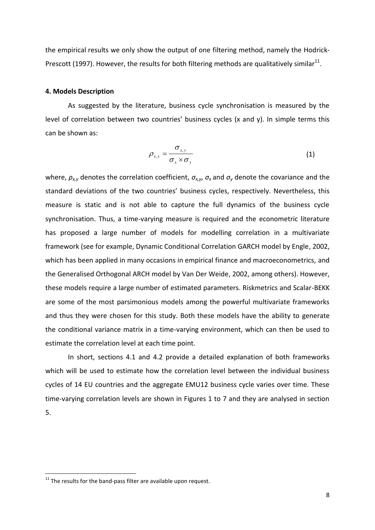the empirical results we only show the output of one filtering method, namely the Hodrick-Prescott (1997). However, the results for both filtering methods are qualitatively similar<sup>11</sup>.

#### **4. Models Description**

As suggested by the literature, business cycle synchronisation is measured by the level of correlation between two countries' business cycles (x and y). In simple terms this can be shown as:

$$
\rho_{x,y} = \frac{\sigma_{x,y}}{\sigma_x \times \sigma_y} \tag{1}
$$

where, *ρx,y* denotes the correlation coefficient, *σx,y*, *σx* and *σy* denote the covariance and the standard deviations of the two countries' business cycles, respectively. Nevertheless, this measure is static and is not able to capture the full dynamics of the business cycle synchronisation. Thus, a time-varying measure is required and the econometric literature has proposed a large number of models for modelling correlation in a multivariate framework (see for example, Dynamic Conditional Correlation GARCH model by Engle, 2002, which has been applied in many occasions in empirical finance and macroeconometrics, and the Generalised Orthogonal ARCH model by Van Der Weide, 2002, among others). However, these models require a large number of estimated parameters. Riskmetrics and Scalar-BEKK are some of the most parsimonious models among the powerful multivariate frameworks and thus they were chosen for this study. Both these models have the ability to generate the conditional variance matrix in a time-varying environment, which can then be used to estimate the correlation level at each time point.

In short, sections 4.1 and 4.2 provide a detailed explanation of both frameworks which will be used to estimate how the correlation level between the individual business cycles of 14 EU countries and the aggregate EMU12 business cycle varies over time. These time-varying correlation levels are shown in Figures 1 to 7 and they are analysed in section 5.

-

 $11$ <sup>11</sup> The results for the band-pass filter are available upon request.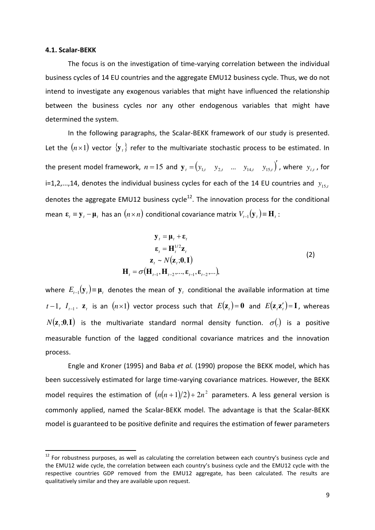## **4.1. Scalar-BEKK**

<u>.</u>

The focus is on the investigation of time-varying correlation between the individual business cycles of 14 EU countries and the aggregate EMU12 business cycle. Thus, we do not intend to investigate any exogenous variables that might have influenced the relationship between the business cycles nor any other endogenous variables that might have determined the system.

In the following paragraphs, the Scalar-BEKK framework of our study is presented. Let the  $(n \times 1)$  vector  $\{y_n\}$  refer to the multivariate stochastic process to be estimated. In the present model framework,  $n = 15$  and  $y_t = (y_{1,t} - y_{2,t} - ... - y_{14,t} - y_{15,t})'$ , where  $y_{i,t}$ , for  $i=1,2,...,14$ , denotes the individual business cycles for each of the 14 EU countries and  $y_{15,1}$ denotes the aggregate EMU12 business cycle<sup>12</sup>. The innovation process for the conditional mean  $\mathbf{\varepsilon}_t \equiv \mathbf{y}_t - \mathbf{\mu}_t$  has an  $(n \times n)$  conditional covariance matrix  $V_{t-1}(\mathbf{y}_t) \equiv \mathbf{H}_t$ :

$$
\mathbf{y}_{t} = \mathbf{\mu}_{t} + \mathbf{\varepsilon}_{t}
$$
\n
$$
\mathbf{\varepsilon}_{t} = \mathbf{H}_{t}^{1/2} \mathbf{z}_{t}
$$
\n
$$
\mathbf{z}_{t} \sim N(\mathbf{z}_{t}; \mathbf{0}, \mathbf{I})
$$
\n
$$
\mathbf{H}_{t} = \sigma(\mathbf{H}_{t-1}, \mathbf{H}_{t-2}, ..., \mathbf{\varepsilon}_{t-1}, \mathbf{\varepsilon}_{t-2}, ...),
$$
\n(2)

where  $E_{t-1}(\mathbf{y}_{t}) \equiv \mathbf{\mu}_{t}$  denotes the mean of  $\mathbf{y}_{t}$  conditional the available information at time  $t-1$ ,  $I_{t-1}$ .  $\mathbf{z}_t$  is an  $(n \times 1)$  vector process such that  $E(\mathbf{z}_t)=\mathbf{0}$  and  $E(\mathbf{z}_t \mathbf{z}_t')=\mathbf{I}$ , whereas  $N({\bf z}_t;{\bf 0},{\bf I})$  is the multivariate standard normal density function.  $\sigma(.)$  is a positive measurable function of the lagged conditional covariance matrices and the innovation process.

Engle and Kroner (1995) and Baba *et al.* (1990) propose the BEKK model, which has been successively estimated for large time-varying covariance matrices. However, the BEKK model requires the estimation of  $(n(n+1)/2) + 2n^2$  parameters. A less general version is commonly applied, named the Scalar-BEKK model. The advantage is that the Scalar-BEKK model is guaranteed to be positive definite and requires the estimation of fewer parameters

 $12$  For robustness purposes, as well as calculating the correlation between each country's business cycle and the EMU12 wide cycle, the correlation between each country's business cycle and the EMU12 cycle with the respective countries GDP removed from the EMU12 aggregate, has been calculated. The results are qualitatively similar and they are available upon request.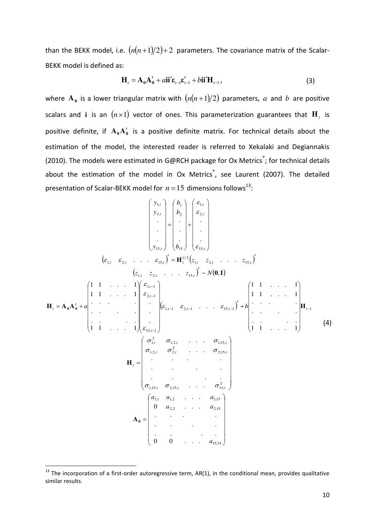than the BEKK model, i.e.  $(n(n+1)/2)+2$  parameters. The covariance matrix of the Scalar-BEKK model is defined as:

$$
\mathbf{H}_{t} = \mathbf{A}_{0}\mathbf{A}'_{0} + a\mathbf{ii}'\boldsymbol{\varepsilon}_{t-1}\boldsymbol{\varepsilon}'_{t-1} + b\mathbf{iii}'\mathbf{H}_{t-1},
$$
\n(3)

where  $A_0$  is a lower triangular matrix with  $(n(n+1)/2)$  parameters,  $a$  and  $b$  are positive scalars and i is an  $(n \times 1)$  vector of ones. This parameterization guarantees that  $\mathbf{H}_{t}$  is positive definite, if  $A_0A_0$  is a positive definite matrix. For technical details about the estimation of the model, the interested reader is referred to Xekalaki and Degiannakis (2010). The models were estimated in G@RCH package for Ox Metrics<sup>®</sup>; for technical details about the estimation of the model in Ox Metrics<sup>®</sup>, see Laurent (2007). The detailed presentation of Scalar-BEKK model for  $n = 15$  dimensions follows<sup>13</sup>:

$$
\mathbf{H}_{t} = \mathbf{A}_{0} \mathbf{A}'_{0} + \mathbf{a} \begin{bmatrix} 1 & 1 & \cdots & 1 \\ 0 & 1 & 0 & 0 \\ \vdots & \vdots & \vdots & \vdots \\ 0 & 0 & 0 & 0 \\ 0 & 0 & 0 & 0 & 0 \end{bmatrix}
$$
\n
$$
\mathbf{H}_{t} = \begin{bmatrix} 1 & 1 & \cdots & 1 \\ 1 & 1 & \cdots & 1 \\ 0 & 0 & 0 & 0 \\ \vdots & \vdots & \vdots & \vdots \\ 0 & 0 & 0 & 0 & 0 \end{bmatrix} \begin{bmatrix} \varepsilon_{1,t} \\ \varepsilon_{2,t} \\ \varepsilon_{3,t} \end{bmatrix} = \mathbf{H}_{t}^{1/2} \left( z_{1,t} & z_{2,t} & \cdots & z_{15,t} \right)'
$$
\n
$$
\mathbf{H}_{t} = \mathbf{A}_{0} \mathbf{A}'_{0} + \mathbf{a} \begin{bmatrix} 1 & 1 & \cdots & 1 \\ 1 & 1 & \cdots & 1 \\ \vdots & \vdots & \vdots & \vdots \\ 0 & 1 & 1 & \cdots & 1 \\ \vdots & \vdots & \vdots & \vdots \\ 0 & 0 & 0 & \cdots & 0 \end{bmatrix} \begin{bmatrix} \varepsilon_{1,t-1} \\ \varepsilon_{2,t-1} \\ \varepsilon_{3,t-1} \\ \vdots \\ \vdots \\ \vdots \\ 0 & 0 & \cdots & 0 \end{bmatrix} = \mathbf{H}_{t}^{1/2} \left( \mathbf{A}_{1,t-1} \mathbf{A}_{2,t-1} \mathbf{A}_{2,t-1} \mathbf{A}_{3,t-1} \mathbf{A}_{4,t-1} \mathbf{A}_{5,t-1} \mathbf{A}_{6,t-1} \mathbf{A}_{7,t-1} \mathbf{A}_{8,t-1} \mathbf{A}_{8,t-1} \mathbf{A}_{9,t-1} \mathbf{A}_{1,t-1} \mathbf{A}_{1,t-1} \mathbf{A}_{1,t-1} \mathbf{A}_{2,t-1} \mathbf{A}_{2,t-1} \mathbf{A}_{2,t-1} \mathbf{A}_{2,t-1} \mathbf{A}_{3,t-1} \mathbf{A}_{4,t-1} \mathbf{A}_{1,t-1} \mathbf{A}_{2,t-1}
$$

<u>.</u>

 $^{13}$  The incorporation of a first-order autoregressive term, AR(1), in the conditional mean, provides qualitative similar results.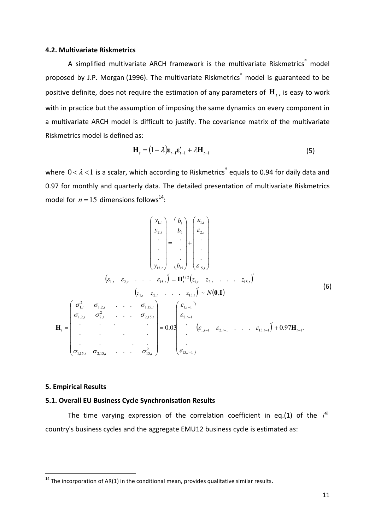## **4.2. Multivariate Riskmetrics**

A simplified multivariate ARCH framework is the multivariate Riskmetrics<sup>®</sup> model proposed by [J.P. Morgan \(1996\)](http://www.core.ucl.ac.be/~laurent/G@RCH/site/Book63.html#XRiskmetrics96). The multivariate Riskmetrics<sup>®</sup> model is guaranteed to be positive definite, does not require the estimation of any parameters of **<sup>H</sup>***<sup>t</sup>* , is easy to work with in practice but the assumption of imposing the same dynamics on every component in a multivariate ARCH model is difficult to justify. The covariance matrix of the multivariate Riskmetrics model is defined as:

$$
\mathbf{H}_{t} = (1 - \lambda)\mathbf{\hat{\varepsilon}}_{t-1}\mathbf{\hat{\varepsilon}}_{t-1}' + \lambda\mathbf{H}_{t-1}
$$
\n(5)

where  $0\!<\!\lambda\!<\!1$  is a scalar, which according to Riskmetrics  $\degree$  equals to 0.94 for daily data and 0.97 for monthly and quarterly data. The detailed presentation of multivariate Riskmetrics model for  $n = 15$  dimensions follows<sup>14</sup>:

$$
\begin{pmatrix}\n\mathbf{y}_{1,t} \\
\mathbf{y}_{2,t} \\
\vdots \\
\mathbf{y}_{15,t}\n\end{pmatrix} = \begin{pmatrix}\n\mathbf{b}_1 \\
\mathbf{b}_2 \\
\vdots \\
\mathbf{b}_1\n\end{pmatrix} + \begin{pmatrix}\n\mathbf{c}_{1,t} \\
\mathbf{c}_{2,t} \\
\vdots \\
\mathbf{c}_{15,t}\n\end{pmatrix}
$$
\n
$$
\begin{pmatrix}\n\mathbf{c}_{1,t} & \mathbf{c}_{2,t} & \dots & \mathbf{c}_{15,t} \\
\mathbf{c}_{15,t} & \mathbf{c}_{2,t} & \dots & \mathbf{c}_{15,t}\n\end{pmatrix} = \mathbf{H}_t^{1/2} \begin{pmatrix}\n\mathbf{c}_{1,t} \\
\mathbf{c}_{1,t} & \mathbf{c}_{2,t} & \dots & \mathbf{c}_{15,t}\n\end{pmatrix}
$$
\n
$$
\mathbf{H}_t = \begin{pmatrix}\n\sigma_{1,t}^2 & \sigma_{1,2,t} & \dots & \sigma_{1,15,t} \\
\sigma_{1,2,t} & \sigma_{2,t}^2 & \dots & \sigma_{2,15,t} \\
\vdots & \vdots & \ddots & \vdots \\
\mathbf{c}_{1,15,t} & \sigma_{2,15,t} & \dots & \sigma_{15,t}^2\n\end{pmatrix} = 0.03 \begin{pmatrix}\n\mathbf{c}_{1,t-1} \\
\mathbf{c}_{2,t-1} \\
\mathbf{c}_{1,t-1} & \mathbf{c}_{2,t-1} & \dots & \mathbf{c}_{15,t-1}\n\end{pmatrix} + 0.97\mathbf{H}_{t-1}.
$$
\n(6)

## **5. Empirical Results**

-

# **5.1. Overall EU Business Cycle Synchronisation Results**

The time varying expression of the correlation coefficient in eq.(1) of the  $i<sup>th</sup>$ country's business cycles and the aggregate EMU12 business cycle is estimated as:

 $14$  The incorporation of AR(1) in the conditional mean, provides qualitative similar results.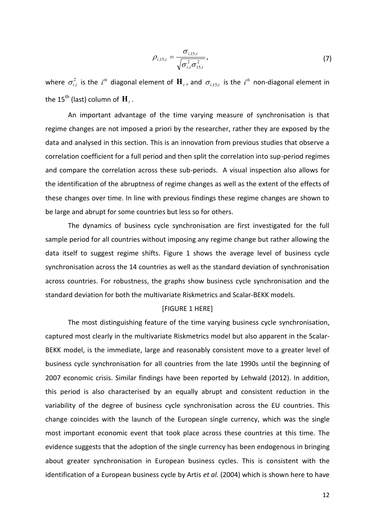$$
\rho_{i,15,t} = \frac{\sigma_{i,15,t}}{\sqrt{\sigma_{i,t}^2 \sigma_{15,t}^2}},
$$
\n(7)

where  $\sigma_{i,t}^2$  is the  $i^{th}$  diagonal element of  $\mathbf{H}_t$ , and  $\sigma_{i,15,t}$  is the  $i^{th}$  non-diagonal element in the 15<sup>th</sup> (last) column of  $\mathbf{H}_{t}$ .

An important advantage of the time varying measure of synchronisation is that regime changes are not imposed a priori by the researcher, rather they are exposed by the data and analysed in this section. This is an innovation from previous studies that observe a correlation coefficient for a full period and then split the correlation into sup-period regimes and compare the correlation across these sub-periods. A visual inspection also allows for the identification of the abruptness of regime changes as well as the extent of the effects of these changes over time. In line with previous findings these regime changes are shown to be large and abrupt for some countries but less so for others.

The dynamics of business cycle synchronisation are first investigated for the full sample period for all countries without imposing any regime change but rather allowing the data itself to suggest regime shifts. Figure 1 shows the average level of business cycle synchronisation across the 14 countries as well as the standard deviation of synchronisation across countries. For robustness, the graphs show business cycle synchronisation and the standard deviation for both the multivariate Riskmetrics and Scalar-BEKK models.

#### [FIGURE 1 HERE]

The most distinguishing feature of the time varying business cycle synchronisation, captured most clearly in the multivariate Riskmetrics model but also apparent in the Scalar-BEKK model, is the immediate, large and reasonably consistent move to a greater level of business cycle synchronisation for all countries from the late 1990s until the beginning of 2007 economic crisis. Similar findings have been reported by Lehwald (2012). In addition, this period is also characterised by an equally abrupt and consistent reduction in the variability of the degree of business cycle synchronisation across the EU countries. This change coincides with the launch of the European single currency, which was the single most important economic event that took place across these countries at this time. The evidence suggests that the adoption of the single currency has been endogenous in bringing about greater synchronisation in European business cycles. This is consistent with the identification of a European business cycle by Artis *et al.* (2004) which is shown here to have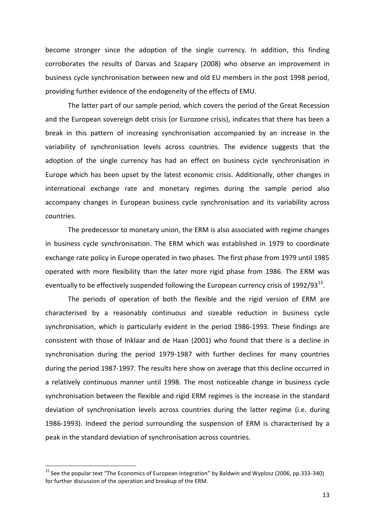become stronger since the adoption of the single currency. In addition, this finding corroborates the results of Darvas and Szapary (2008) who observe an improvement in business cycle synchronisation between new and old EU members in the post 1998 period, providing further evidence of the endogeneity of the effects of EMU.

The latter part of our sample period, which covers the period of the Great Recession and the European sovereign debt crisis (or Eurozone crisis), indicates that there has been a break in this pattern of increasing synchronisation accompanied by an increase in the variability of synchronisation levels across countries. The evidence suggests that the adoption of the single currency has had an effect on business cycle synchronisation in Europe which has been upset by the latest economic crisis. Additionally, other changes in international exchange rate and monetary regimes during the sample period also accompany changes in European business cycle synchronisation and its variability across countries.

The predecessor to monetary union, the ERM is also associated with regime changes in business cycle synchronisation. The ERM which was established in 1979 to coordinate exchange rate policy in Europe operated in two phases. The first phase from 1979 until 1985 operated with more flexibility than the later more rigid phase from 1986. The ERM was eventually to be effectively suspended following the European currency crisis of 1992/93 $^{15}$ .

The periods of operation of both the flexible and the rigid version of ERM are characterised by a reasonably continuous and sizeable reduction in business cycle synchronisation, which is particularly evident in the period 1986-1993. These findings are consistent with those of Inklaar and de Haan (2001) who found that there is a decline in synchronisation during the period 1979-1987 with further declines for many countries during the period 1987-1997. The results here show on average that this decline occurred in a relatively continuous manner until 1998. The most noticeable change in business cycle synchronisation between the flexible and rigid ERM regimes is the increase in the standard deviation of synchronisation levels across countries during the latter regime (i.e. during 1986-1993). Indeed the period surrounding the suspension of ERM is characterised by a peak in the standard deviation of synchronisation across countries.

<u>.</u>

<sup>&</sup>lt;sup>15</sup> See the popular text "The Economics of European Integration" by Baldwin and Wyplosz (2006, pp.333-340) for further discussion of the operation and breakup of the ERM.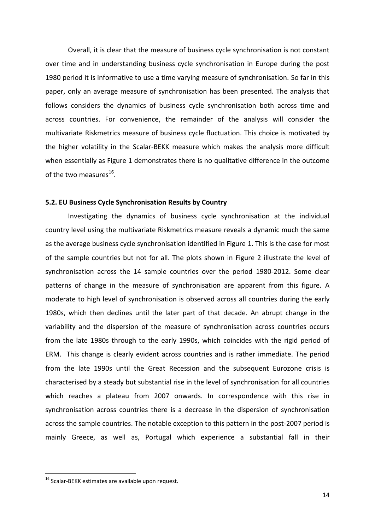Overall, it is clear that the measure of business cycle synchronisation is not constant over time and in understanding business cycle synchronisation in Europe during the post 1980 period it is informative to use a time varying measure of synchronisation. So far in this paper, only an average measure of synchronisation has been presented. The analysis that follows considers the dynamics of business cycle synchronisation both across time and across countries. For convenience, the remainder of the analysis will consider the multivariate Riskmetrics measure of business cycle fluctuation. This choice is motivated by the higher volatility in the Scalar-BEKK measure which makes the analysis more difficult when essentially as Figure 1 demonstrates there is no qualitative difference in the outcome of the two measures<sup>16</sup>.

# **5.2. EU Business Cycle Synchronisation Results by Country**

Investigating the dynamics of business cycle synchronisation at the individual country level using the multivariate Riskmetrics measure reveals a dynamic much the same as the average business cycle synchronisation identified in Figure 1. This is the case for most of the sample countries but not for all. The plots shown in Figure 2 illustrate the level of synchronisation across the 14 sample countries over the period 1980-2012. Some clear patterns of change in the measure of synchronisation are apparent from this figure. A moderate to high level of synchronisation is observed across all countries during the early 1980s, which then declines until the later part of that decade. An abrupt change in the variability and the dispersion of the measure of synchronisation across countries occurs from the late 1980s through to the early 1990s, which coincides with the rigid period of ERM. This change is clearly evident across countries and is rather immediate. The period from the late 1990s until the Great Recession and the subsequent Eurozone crisis is characterised by a steady but substantial rise in the level of synchronisation for all countries which reaches a plateau from 2007 onwards. In correspondence with this rise in synchronisation across countries there is a decrease in the dispersion of synchronisation across the sample countries. The notable exception to this pattern in the post-2007 period is mainly Greece, as well as, Portugal which experience a substantial fall in their

-

<sup>&</sup>lt;sup>16</sup> Scalar-BEKK estimates are available upon request.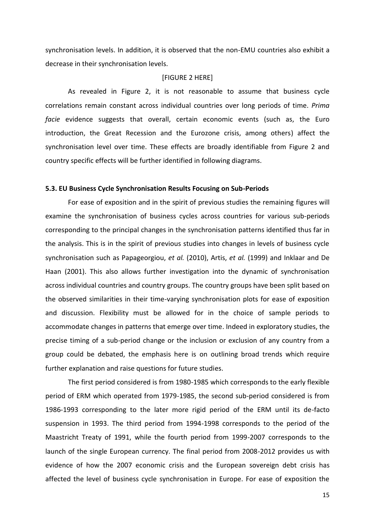synchronisation levels. In addition, it is observed that the non-EMU countries also exhibit a decrease in their synchronisation levels.

#### [FIGURE 2 HERE]

As revealed in Figure 2, it is not reasonable to assume that business cycle correlations remain constant across individual countries over long periods of time. *Prima facie* evidence suggests that overall, certain economic events (such as, the Euro introduction, the Great Recession and the Eurozone crisis, among others) affect the synchronisation level over time. These effects are broadly identifiable from Figure 2 and country specific effects will be further identified in following diagrams.

#### **5.3. EU Business Cycle Synchronisation Results Focusing on Sub-Periods**

For ease of exposition and in the spirit of previous studies the remaining figures will examine the synchronisation of business cycles across countries for various sub-periods corresponding to the principal changes in the synchronisation patterns identified thus far in the analysis. This is in the spirit of previous studies into changes in levels of business cycle synchronisation such as Papageorgiou, *et al.* (2010), Artis, *et al.* (1999) and Inklaar and De Haan (2001). This also allows further investigation into the dynamic of synchronisation across individual countries and country groups. The country groups have been split based on the observed similarities in their time-varying synchronisation plots for ease of exposition and discussion. Flexibility must be allowed for in the choice of sample periods to accommodate changes in patterns that emerge over time. Indeed in exploratory studies, the precise timing of a sub-period change or the inclusion or exclusion of any country from a group could be debated, the emphasis here is on outlining broad trends which require further explanation and raise questions for future studies.

The first period considered is from 1980-1985 which corresponds to the early flexible period of ERM which operated from 1979-1985, the second sub-period considered is from 1986-1993 corresponding to the later more rigid period of the ERM until its de-facto suspension in 1993. The third period from 1994-1998 corresponds to the period of the Maastricht Treaty of 1991, while the fourth period from 1999-2007 corresponds to the launch of the single European currency. The final period from 2008-2012 provides us with evidence of how the 2007 economic crisis and the European sovereign debt crisis has affected the level of business cycle synchronisation in Europe. For ease of exposition the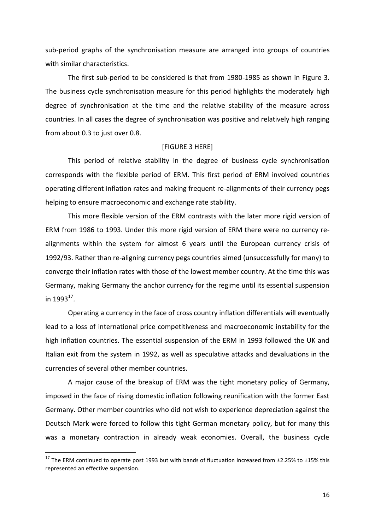sub-period graphs of the synchronisation measure are arranged into groups of countries with similar characteristics.

The first sub-period to be considered is that from 1980-1985 as shown in Figure 3. The business cycle synchronisation measure for this period highlights the moderately high degree of synchronisation at the time and the relative stability of the measure across countries. In all cases the degree of synchronisation was positive and relatively high ranging from about 0.3 to just over 0.8.

## [FIGURE 3 HERE]

This period of relative stability in the degree of business cycle synchronisation corresponds with the flexible period of ERM. This first period of ERM involved countries operating different inflation rates and making frequent re-alignments of their currency pegs helping to ensure macroeconomic and exchange rate stability.

This more flexible version of the ERM contrasts with the later more rigid version of ERM from 1986 to 1993. Under this more rigid version of ERM there were no currency realignments within the system for almost 6 years until the European currency crisis of 1992/93. Rather than re-aligning currency pegs countries aimed (unsuccessfully for many) to converge their inflation rates with those of the lowest member country. At the time this was Germany, making Germany the anchor currency for the regime until its essential suspension in  $1993^{17}$ .

Operating a currency in the face of cross country inflation differentials will eventually lead to a loss of international price competitiveness and macroeconomic instability for the high inflation countries. The essential suspension of the ERM in 1993 followed the UK and Italian exit from the system in 1992, as well as speculative attacks and devaluations in the currencies of several other member countries.

A major cause of the breakup of ERM was the tight monetary policy of Germany, imposed in the face of rising domestic inflation following reunification with the former East Germany. Other member countries who did not wish to experience depreciation against the Deutsch Mark were forced to follow this tight German monetary policy, but for many this was a monetary contraction in already weak economies. Overall, the business cycle

<u>.</u>

<sup>&</sup>lt;sup>17</sup> The ERM continued to operate post 1993 but with bands of fluctuation increased from  $\pm$ 2.25% to  $\pm$ 15% this represented an effective suspension.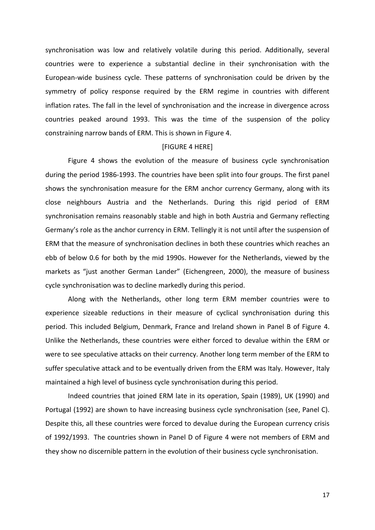synchronisation was low and relatively volatile during this period. Additionally, several countries were to experience a substantial decline in their synchronisation with the European-wide business cycle. These patterns of synchronisation could be driven by the symmetry of policy response required by the ERM regime in countries with different inflation rates. The fall in the level of synchronisation and the increase in divergence across countries peaked around 1993. This was the time of the suspension of the policy constraining narrow bands of ERM. This is shown in Figure 4.

#### [FIGURE 4 HERE]

Figure 4 shows the evolution of the measure of business cycle synchronisation during the period 1986-1993. The countries have been split into four groups. The first panel shows the synchronisation measure for the ERM anchor currency Germany, along with its close neighbours Austria and the Netherlands. During this rigid period of ERM synchronisation remains reasonably stable and high in both Austria and Germany reflecting Germany's role as the anchor currency in ERM. Tellingly it is not until after the suspension of ERM that the measure of synchronisation declines in both these countries which reaches an ebb of below 0.6 for both by the mid 1990s. However for the Netherlands, viewed by the markets as "just another German Lander" (Eichengreen, 2000), the measure of business cycle synchronisation was to decline markedly during this period.

Along with the Netherlands, other long term ERM member countries were to experience sizeable reductions in their measure of cyclical synchronisation during this period. This included Belgium, Denmark, France and Ireland shown in Panel B of Figure 4. Unlike the Netherlands, these countries were either forced to devalue within the ERM or were to see speculative attacks on their currency. Another long term member of the ERM to suffer speculative attack and to be eventually driven from the ERM was Italy. However, Italy maintained a high level of business cycle synchronisation during this period.

Indeed countries that joined ERM late in its operation, Spain (1989), UK (1990) and Portugal (1992) are shown to have increasing business cycle synchronisation (see, Panel C). Despite this, all these countries were forced to devalue during the European currency crisis of 1992/1993. The countries shown in Panel D of Figure 4 were not members of ERM and they show no discernible pattern in the evolution of their business cycle synchronisation.

17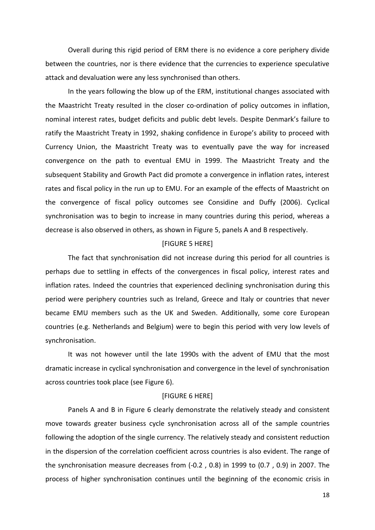Overall during this rigid period of ERM there is no evidence a core periphery divide between the countries, nor is there evidence that the currencies to experience speculative attack and devaluation were any less synchronised than others.

In the years following the blow up of the ERM, institutional changes associated with the Maastricht Treaty resulted in the closer co-ordination of policy outcomes in inflation, nominal interest rates, budget deficits and public debt levels. Despite Denmark's failure to ratify the Maastricht Treaty in 1992, shaking confidence in Europe's ability to proceed with Currency Union, the Maastricht Treaty was to eventually pave the way for increased convergence on the path to eventual EMU in 1999. The Maastricht Treaty and the subsequent Stability and Growth Pact did promote a convergence in inflation rates, interest rates and fiscal policy in the run up to EMU. For an example of the effects of Maastricht on the convergence of fiscal policy outcomes see Considine and Duffy (2006). Cyclical synchronisation was to begin to increase in many countries during this period, whereas a decrease is also observed in others, as shown in Figure 5, panels A and B respectively.

# [FIGURE 5 HERE]

The fact that synchronisation did not increase during this period for all countries is perhaps due to settling in effects of the convergences in fiscal policy, interest rates and inflation rates. Indeed the countries that experienced declining synchronisation during this period were periphery countries such as Ireland, Greece and Italy or countries that never became EMU members such as the UK and Sweden. Additionally, some core European countries (e.g. Netherlands and Belgium) were to begin this period with very low levels of synchronisation.

It was not however until the late 1990s with the advent of EMU that the most dramatic increase in cyclical synchronisation and convergence in the level of synchronisation across countries took place (see Figure 6).

# [FIGURE 6 HERE]

Panels A and B in Figure 6 clearly demonstrate the relatively steady and consistent move towards greater business cycle synchronisation across all of the sample countries following the adoption of the single currency. The relatively steady and consistent reduction in the dispersion of the correlation coefficient across countries is also evident. The range of the synchronisation measure decreases from (-0.2 , 0.8) in 1999 to (0.7 , 0.9) in 2007. The process of higher synchronisation continues until the beginning of the economic crisis in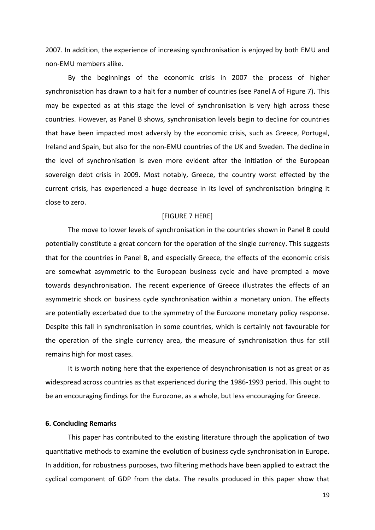2007. In addition, the experience of increasing synchronisation is enjoyed by both EMU and non-EMU members alike.

By the beginnings of the economic crisis in 2007 the process of higher synchronisation has drawn to a halt for a number of countries (see Panel A of Figure 7). This may be expected as at this stage the level of synchronisation is very high across these countries. However, as Panel B shows, synchronisation levels begin to decline for countries that have been impacted most adversly by the economic crisis, such as Greece, Portugal, Ireland and Spain, but also for the non-EMU countries of the UK and Sweden. The decline in the level of synchronisation is even more evident after the initiation of the European sovereign debt crisis in 2009. Most notably, Greece, the country worst effected by the current crisis, has experienced a huge decrease in its level of synchronisation bringing it close to zero.

### [FIGURE 7 HERE]

The move to lower levels of synchronisation in the countries shown in Panel B could potentially constitute a great concern for the operation of the single currency. This suggests that for the countries in Panel B, and especially Greece, the effects of the economic crisis are somewhat asymmetric to the European business cycle and have prompted a move towards desynchronisation. The recent experience of Greece illustrates the effects of an asymmetric shock on business cycle synchronisation within a monetary union. The effects are potentially excerbated due to the symmetry of the Eurozone monetary policy response. Despite this fall in synchronisation in some countries, which is certainly not favourable for the operation of the single currency area, the measure of synchronisation thus far still remains high for most cases.

It is worth noting here that the experience of desynchronisation is not as great or as widespread across countries as that experienced during the 1986-1993 period. This ought to be an encouraging findings for the Eurozone, as a whole, but less encouraging for Greece.

# **6. Concluding Remarks**

This paper has contributed to the existing literature through the application of two quantitative methods to examine the evolution of business cycle synchronisation in Europe. In addition, for robustness purposes, two filtering methods have been applied to extract the cyclical component of GDP from the data. The results produced in this paper show that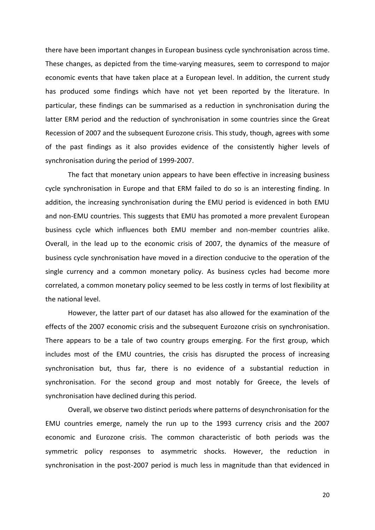there have been important changes in European business cycle synchronisation across time. These changes, as depicted from the time-varying measures, seem to correspond to major economic events that have taken place at a European level. In addition, the current study has produced some findings which have not yet been reported by the literature. In particular, these findings can be summarised as a reduction in synchronisation during the latter ERM period and the reduction of synchronisation in some countries since the Great Recession of 2007 and the subsequent Eurozone crisis. This study, though, agrees with some of the past findings as it also provides evidence of the consistently higher levels of synchronisation during the period of 1999-2007.

The fact that monetary union appears to have been effective in increasing business cycle synchronisation in Europe and that ERM failed to do so is an interesting finding. In addition, the increasing synchronisation during the EMU period is evidenced in both EMU and non-EMU countries. This suggests that EMU has promoted a more prevalent European business cycle which influences both EMU member and non-member countries alike. Overall, in the lead up to the economic crisis of 2007, the dynamics of the measure of business cycle synchronisation have moved in a direction conducive to the operation of the single currency and a common monetary policy. As business cycles had become more correlated, a common monetary policy seemed to be less costly in terms of lost flexibility at the national level.

However, the latter part of our dataset has also allowed for the examination of the effects of the 2007 economic crisis and the subsequent Eurozone crisis on synchronisation. There appears to be a tale of two country groups emerging. For the first group, which includes most of the EMU countries, the crisis has disrupted the process of increasing synchronisation but, thus far, there is no evidence of a substantial reduction in synchronisation. For the second group and most notably for Greece, the levels of synchronisation have declined during this period.

Overall, we observe two distinct periods where patterns of desynchronisation for the EMU countries emerge, namely the run up to the 1993 currency crisis and the 2007 economic and Eurozone crisis. The common characteristic of both periods was the symmetric policy responses to asymmetric shocks. However, the reduction in synchronisation in the post-2007 period is much less in magnitude than that evidenced in

20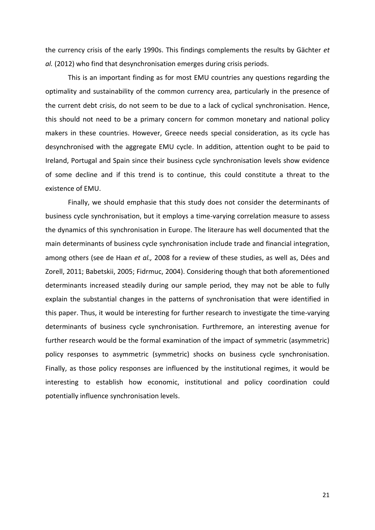the currency crisis of the early 1990s. This findings complements the results by Gächter *et al.* (2012) who find that desynchronisation emerges during crisis periods.

This is an important finding as for most EMU countries any questions regarding the optimality and sustainability of the common currency area, particularly in the presence of the current debt crisis, do not seem to be due to a lack of cyclical synchronisation. Hence, this should not need to be a primary concern for common monetary and national policy makers in these countries. However, Greece needs special consideration, as its cycle has desynchronised with the aggregate EMU cycle. In addition, attention ought to be paid to Ireland, Portugal and Spain since their business cycle synchronisation levels show evidence of some decline and if this trend is to continue, this could constitute a threat to the existence of EMU.

Finally, we should emphasie that this study does not consider the determinants of business cycle synchronisation, but it employs a time-varying correlation measure to assess the dynamics of this synchronisation in Europe. The literaure has well documented that the main determinants of business cycle synchronisation include trade and financial integration, among others (see de Haan *et al.,* 2008 for a review of these studies, as well as, Dées and Zorell, 2011; Babetskii, 2005; Fidrmuc, 2004). Considering though that both aforementioned determinants increased steadily during our sample period, they may not be able to fully explain the substantial changes in the patterns of synchronisation that were identified in this paper. Thus, it would be interesting for further research to investigate the time-varying determinants of business cycle synchronisation. Furthremore, an interesting avenue for further research would be the formal examination of the impact of symmetric (asymmetric) policy responses to asymmetric (symmetric) shocks on business cycle synchronisation. Finally, as those policy responses are influenced by the institutional regimes, it would be interesting to establish how economic, institutional and policy coordination could potentially influence synchronisation levels.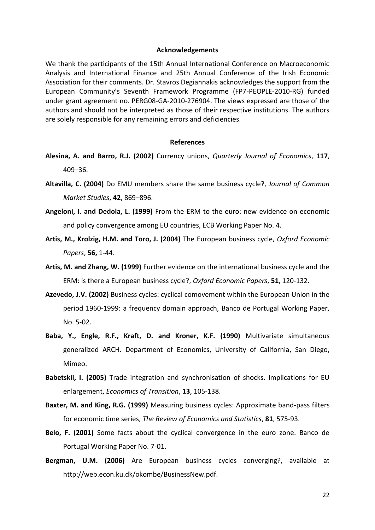## **Acknowledgements**

We thank the participants of the 15th Annual International Conference on Macroeconomic Analysis and International Finance and 25th Annual Conference of the Irish Economic Association for their comments. Dr. Stavros Degiannakis acknowledges the support from the European Community's Seventh Framework Programme (FP7-PEOPLE-2010-RG) funded under grant agreement no. PERG08-GA-2010-276904. The views expressed are those of the authors and should not be interpreted as those of their respective institutions. The authors are solely responsible for any remaining errors and deficiencies.

## **References**

- **Alesina, A. and Barro, R.J. (2002)** Currency unions, *Quarterly Journal of Economics*, **117**, 409–36.
- **Altavilla, C. (2004)** Do EMU members share the same business cycle?, *Journal of Common Market Studies*, **42**, 869–896.
- **Angeloni, I. and Dedola, L. (1999)** From the ERM to the euro: new evidence on economic and policy convergence among EU countries, ECB Working Paper No. 4.
- **Artis, M., Krolzig, H.M. and Toro, J. (2004)** The European business cycle, *Oxford Economic Papers*, **56,** 1-44.
- **Artis, M. and Zhang, W. (1999)** Further evidence on the international business cycle and the ERM: is there a European business cycle?, *Oxford Economic Papers*, **51**, 120-132.
- **Azevedo, J.V. (2002)** Business cycles: cyclical comovement within the European Union in the period 1960-1999: a frequency domain approach, Banco de Portugal Working Paper, No. 5-02.
- **Baba, Y., Engle, R.F., Kraft, D. and Kroner, K.F. (1990)** Multivariate simultaneous generalized ARCH. Department of Economics, University of California, San Diego, Mimeo.
- **Babetskii, I. (2005)** Trade integration and synchronisation of shocks. Implications for EU enlargement, *Economics of Transition*, **13**, 105-138.
- **Baxter, M. and King, R.G. (1999)** Measuring business cycles: Approximate band-pass filters for economic time series, *The Review of Economics and Statistics*, **81**, 575-93.
- **Belo, F. (2001)** Some facts about the cyclical convergence in the euro zone. Banco de Portugal Working Paper No. 7-01.
- **Bergman, U.M. (2006)** Are European business cycles converging?, available at http://web.econ.ku.dk/okombe/BusinessNew.pdf.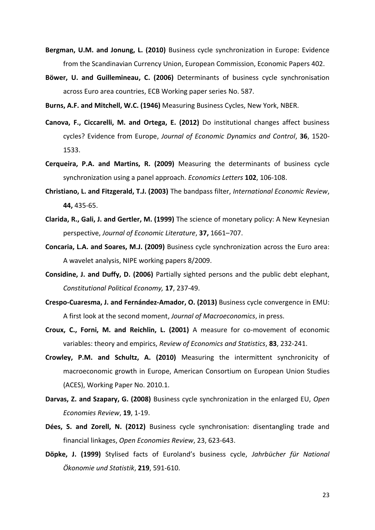- **Bergman, U.M. and Jonung, L. (2010)** Business cycle synchronization in Europe: Evidence from the Scandinavian Currency Union, European Commission, Economic Papers 402.
- **Böwer, U. and Guillemineau, C. (2006)** Determinants of business cycle synchronisation across Euro area countries, ECB Working paper series No. 587.
- **Burns, A.F. and Mitchell, W.C. (1946)** Measuring Business Cycles, New York, NBER.
- **Canova, F., Ciccarelli, M. and Ortega, E. (2012)** Do institutional changes affect business cycles? Evidence from Europe, *Journal of Economic Dynamics and Control*, **36**, 1520- 1533.
- **Cerqueira, P.A. and Martins, R. (2009)** Measuring the determinants of business cycle synchronization using a panel approach. *Economics Letters* **102**, 106-108.
- **Christiano, L. and Fitzgerald, T.J. (2003)** The bandpass filter, *International Economic Review*, **44,** 435-65.
- **Clarida, R., Gali, J. and Gertler, M. (1999)** The science of monetary policy: A New Keynesian perspective, *Journal of Economic Literature*, **37,** 1661–707.
- **Concaria, L.A. and Soares, M.J. (2009)** Business cycle synchronization across the Euro area: A wavelet analysis, NIPE working papers 8/2009.
- **Considine, J. and Duffy, D. (2006)** Partially sighted persons and the public debt elephant, *Constitutional Political Economy,* **17**, 237-49.
- **Crespo-Cuaresma, J. and Fernández-Amador, O. (2013)** Business cycle convergence in EMU: A first look at the second moment, *Journal of Macroeconomics*, in press.
- **Croux, C., Forni, M. and Reichlin, L. (2001)** A measure for co-movement of economic variables: theory and empirics, *Review of Economics and Statistics*, **83**, 232-241.
- **Crowley, P.M. and Schultz, A. (2010)** Measuring the intermittent synchronicity of macroeconomic growth in Europe, American Consortium on European Union Studies (ACES), Working Paper No. 2010.1.
- **Darvas, Z. and Szapary, G. (2008)** Business cycle synchronization in the enlarged EU, *Open Economies Review*, **19**, 1-19.
- **Dées, S. and Zorell, N. (2012)** Business cycle synchronisation: disentangling trade and financial linkages, *Open Economies Review*, 23, 623-643.
- **Döpke, J. (1999)** Stylised facts of Euroland's business cycle, *Jahrbücher für National Ökonomie und Statistik*, **219**, 591-610.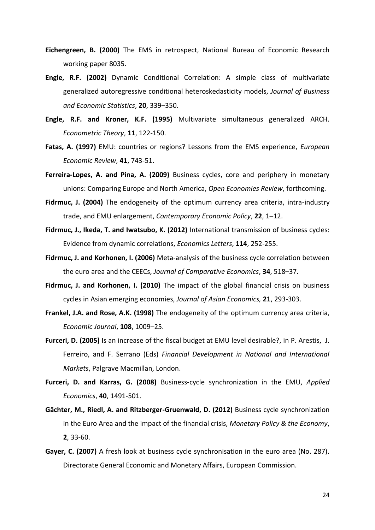- **Eichengreen, B. (2000)** The EMS in retrospect, National Bureau of Economic Research working paper 8035.
- **Engle, R.F. (2002)** Dynamic Conditional Correlation: A simple class of multivariate generalized autoregressive conditional heteroskedasticity models, *Journal of Business and Economic Statistics*, **20**, 339–350.
- **Engle, R.F. and Kroner, K.F. (1995)** Multivariate simultaneous generalized ARCH. *Econometric Theory*, **11**, 122-150.
- **Fatas, A. (1997)** EMU: countries or regions? Lessons from the EMS experience, *European Economic Review*, **41**, 743-51.
- **Ferreira-Lopes, A. and Pina, A. (2009)** Business cycles, core and periphery in monetary unions: Comparing Europe and North America, *Open Economies Review*, forthcoming.
- **Fidrmuc, J. (2004)** The endogeneity of the optimum currency area criteria, intra-industry trade, and EMU enlargement, *Contemporary Economic Policy*, **22**, 1–12.
- **Fidrmuc, J., Ikeda, T. and Iwatsubo, K. (2012)** International transmission of business cycles: Evidence from dynamic correlations, *Economics Letters*, **114**, 252-255.
- **Fidrmuc, J. and Korhonen, I. (2006)** Meta-analysis of the business cycle correlation between the euro area and the CEECs, *Journal of Comparative Economics*, **34**, 518–37.
- **Fidrmuc, J. and Korhonen, I. (2010)** The impact of the global financial crisis on business cycles in Asian emerging economies, *Journal of Asian Economics,* **21**, 293-303.
- **Frankel, J.A. and Rose, A.K. (1998)** The endogeneity of the optimum currency area criteria, *Economic Journal*, **108**, 1009–25.
- **Furceri, D. (2005)** Is an increase of the fiscal budget at EMU level desirable?, in P. Arestis, J. Ferreiro, and F. Serrano (Eds) *Financial Development in National and International Markets*, Palgrave Macmillan, London.
- **Furceri, D. and Karras, G. (2008)** Business-cycle synchronization in the EMU, *Applied Economics*, **40**, 1491-501.
- **Gächter, M., Riedl, A. and Ritzberger-Gruenwald, D. (2012)** Business cycle synchronization in the Euro Area and the impact of the financial crisis, *Monetary Policy & the Economy*, **2**, 33-60.
- **Gayer, C. (2007)** A fresh look at business cycle synchronisation in the euro area (No. 287). Directorate General Economic and Monetary Affairs, European Commission.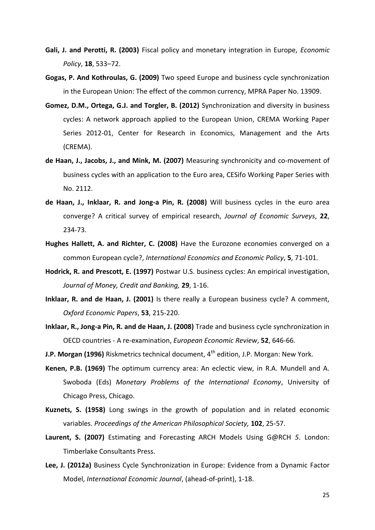- **Gali, J. and Perotti, R. (2003)** Fiscal policy and monetary integration in Europe, *Economic Policy*, **18**, 533–72.
- **Gogas, P. And Kothroulas, G. (2009)** Two speed Europe and business cycle synchronization in the European Union: The effect of the common currency, MPRA Paper No. 13909.
- **Gomez, D.M., Ortega, G.J. and Torgler, B. (2012)** Synchronization and diversity in business cycles: A network approach applied to the European Union, CREMA Working Paper Series 2012-01, Center for Research in Economics, Management and the Arts (CREMA).
- **de Haan, J., Jacobs, J., and Mink, M. (2007)** Measuring synchronicity and co-movement of business cycles with an application to the Euro area, CESifo Working Paper Series with No. 2112.
- **de Haan, J., Inklaar, R. and Jong-a Pin, R. (2008)** Will business cycles in the euro area converge? A critical survey of empirical research, *Journal of Economic Surveys*, **22**, 234-73.
- **Hughes Hallett, A. and Richter, C. (2008)** Have the Eurozone economies converged on a common European cycle?, *International Economics and Economic Policy*, **5**, 71-101.
- **Hodrick, R. and Prescott, E. (1997)** Postwar U.S. business cycles: An empirical investigation, *Journal of Money, Credit and Banking,* **29**, 1-16.
- **Inklaar, R. and de Haan, J. (2001)** Is there really a European business cycle? A comment, *Oxford Economic Papers*, **53**, 215-220.
- **Inklaar, R., Jong-a Pin, R. and de Haan, J. (2008)** Trade and business cycle synchronization in OECD countries - A re-examination, *European Economic Review*, **52**, 646-66.

**J.P. Morgan (1996)** Riskmetrics technical document, 4<sup>th</sup> edition, J.P. Morgan: New York.

- **Kenen, P.B. (1969)** The optimum currency area: An eclectic view, in R.A. Mundell and A. Swoboda (Eds) *Monetary Problems of the International Economy*, University of Chicago Press, Chicago.
- **Kuznets, S. (1958)** Long swings in the growth of population and in related economic variables. *Proceedings of the American Philosophical Society,* **102**, 25-57.
- **Laurent, S. (2007)** Estimating and Forecasting ARCH Models Using G@RCH *5*. London: Timberlake Consultants Press.
- **Lee, J. (2012a)** Business Cycle Synchronization in Europe: Evidence from a Dynamic Factor Model, *International Economic Journal*, (ahead-of-print), 1-18.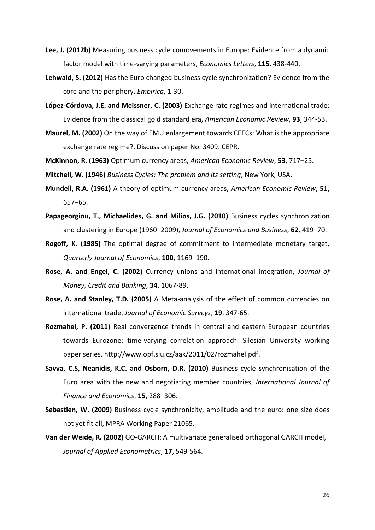- **Lee, J. (2012b)** Measuring business cycle comovements in Europe: Evidence from a dynamic factor model with time-varying parameters, *Economics Letters*, **115**, 438-440.
- **Lehwald, S. (2012)** Has the Euro changed business cycle synchronization? Evidence from the core and the periphery, *Empirica*, 1-30.
- **López-Córdova, J.E. and Meissner, C. (2003)** Exchange rate regimes and international trade: Evidence from the classical gold standard era, *American Economic Review*, **93**, 344-53.
- **Maurel, M. (2002)** On the way of EMU enlargement towards CEECs: What is the appropriate exchange rate regime?, Discussion paper No. 3409. CEPR.
- **McKinnon, R. (1963)** Optimum currency areas, *American Economic Review*, **53**, 717–25.

**Mitchell, W. (1946)** *Business Cycles: The problem and its setting*, New York, USA.

- **Mundell, R.A. (1961)** A theory of optimum currency areas, *American Economic Review*, **51,** 657–65.
- **Papageorgiou, T., Michaelides, G. and Milios, J.G. (2010)** Business cycles synchronization and clustering in Europe (1960–2009), *Journal of Economics and Business*, **62**, 419–70.
- **Rogoff, K. (1985)** The optimal degree of commitment to intermediate monetary target, *Quarterly Journal of Economics*, **100**, 1169–190.
- **Rose, A. and Engel, C. (2002)** Currency unions and international integration, *Journal of Money, Credit and Banking*, **34**, 1067-89.
- **Rose, A. and Stanley, T.D. (2005)** A Meta-analysis of the effect of common currencies on international trade, *Journal of Economic Surveys*, **19**, 347-65.
- **Rozmahel, P. (2011)** Real convergence trends in central and eastern European countries towards Eurozone: time-varying correlation approach. Silesian University working paper series. http://www.opf.slu.cz/aak/2011/02/rozmahel.pdf.
- **Savva, C.S, Neanidis, K.C. and Osborn, D.R. (2010)** Business cycle synchronisation of the Euro area with the new and negotiating member countries, *International Journal of Finance and Economics*, **15**, 288–306.
- **Sebastien, W. (2009)** Business cycle synchronicity, amplitude and the euro: one size does not yet fit all, MPRA Working Paper 21065.
- **Van der Weide, R. (2002)** GO-GARCH: A multivariate generalised orthogonal GARCH model, *Journal of Applied Econometrics*, **17**, 549-564.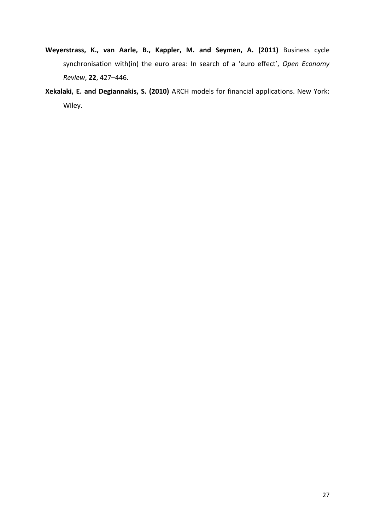- **Weyerstrass, K., van Aarle, B., Kappler, M. and Seymen, A. (2011)** Business cycle synchronisation with(in) the euro area: In search of a 'euro effect', *Open Economy Review*, **22**, 427–446.
- **Xekalaki, E. and Degiannakis, S. (2010)** ARCH models for financial applications. New York: Wiley.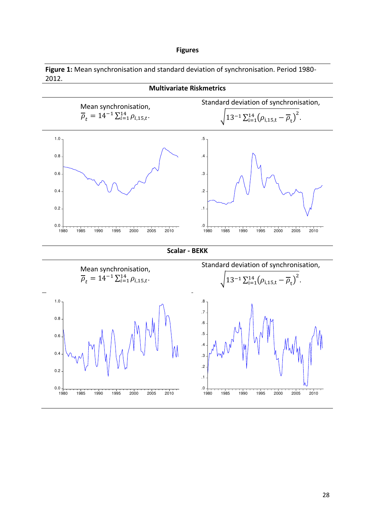**Figure 1:** Mean synchronisation and standard deviation of synchronisation. Period 1980- 2012.

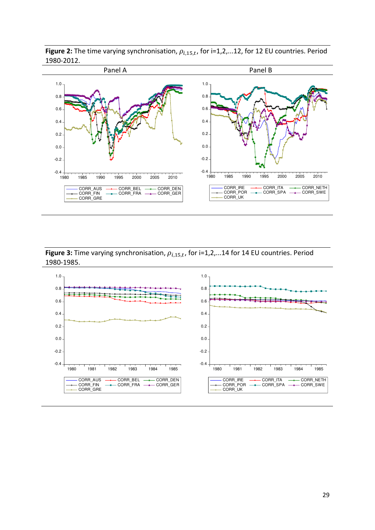



**Figure 3:** Time varying synchronisation,  $\rho_{i,15,t}$ , for i=1,2,...14 for 14 EU countries. Period 1980-1985.

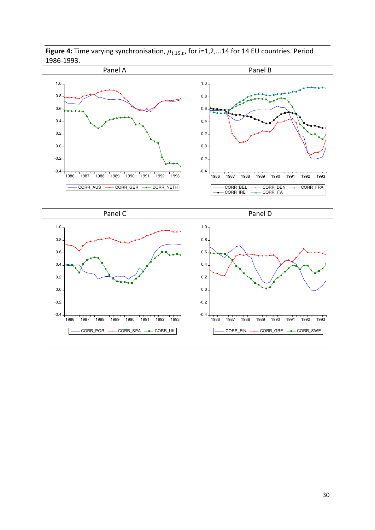

**Figure 4:** Time varying synchronisation,  $\rho_{i,15,t}$ , for i=1,2,...14 for 14 EU countries. Period 1986-1993.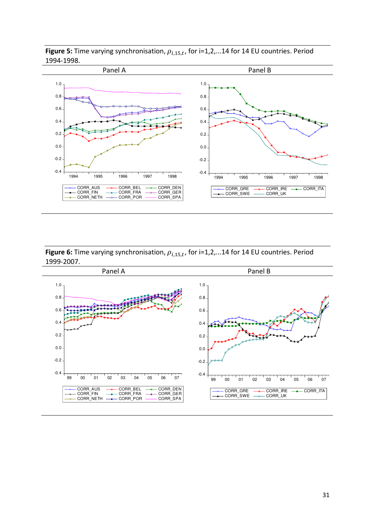

**Figure 5:** Time varying synchronisation,  $\rho_{i,15,t}$ , for i=1,2,...14 for 14 EU countries. Period 1994-1998.

**Figure 6:** Time varying synchronisation,  $\rho_{i,15,t}$ , for i=1,2,...14 for 14 EU countries. Period 1999-2007.